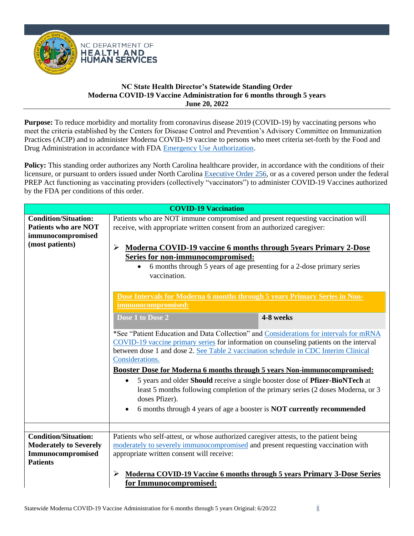

**Purpose:** To reduce morbidity and mortality from coronavirus disease 2019 (COVID-19) by vaccinating persons who meet the criteria established by the Centers for Disease Control and Prevention's Advisory Committee on Immunization Practices (ACIP) and to administer Moderna COVID-19 vaccine to persons who meet criteria set-forth by the Food and Drug Administration in accordance with FDA [Emergency Use Authorization.](https://www.fda.gov/media/159307/download)

**Policy:** This standing order authorizes any North Carolina healthcare provider, in accordance with the conditions of their licensure, or pursuant to orders issued under North Carolina [Executive Order 256,](chrome-extension://efaidnbmnnnibpcajpcglclefindmkaj/https:/governor.nc.gov/media/3160/open) or as a covered person under the federal PREP Act functioning as vaccinating providers (collectively "vaccinators") to administer COVID-19 Vaccines authorized by the FDA per conditions of this order.

|                                                                                                    | <b>COVID-19 Vaccination</b>                                                                                                                                                                                                                                                                                                                                                                          |                                                                                                                                                                                                                                                   |
|----------------------------------------------------------------------------------------------------|------------------------------------------------------------------------------------------------------------------------------------------------------------------------------------------------------------------------------------------------------------------------------------------------------------------------------------------------------------------------------------------------------|---------------------------------------------------------------------------------------------------------------------------------------------------------------------------------------------------------------------------------------------------|
| <b>Condition/Situation:</b><br><b>Patients who are NOT</b><br>immunocompromised<br>(most patients) | Patients who are NOT immune compromised and present requesting vaccination will<br>receive, with appropriate written consent from an authorized caregiver:<br><b>Moderna COVID-19 vaccine 6 months through 5years Primary 2-Dose</b><br>➤<br>Series for non-immunocompromised:<br>6 months through 5 years of age presenting for a 2-dose primary series<br>vaccination.                             |                                                                                                                                                                                                                                                   |
|                                                                                                    | Dose Intervals for Moderna 6 months through 5 years Primary Series in Non-<br>immunocompromised:<br>Dose 1 to Dose 2<br>COVID-19 vaccine primary series for information on counseling patients on the interval<br>between dose 1 and dose 2. See Table 2 vaccination schedule in CDC Interim Clinical<br>Considerations.<br>Booster Dose for Moderna 6 months through 5 years Non-immunocompromised: | 4-8 weeks<br>*See "Patient Education and Data Collection" and Considerations for intervals for mRNA                                                                                                                                               |
|                                                                                                    | doses Pfizer).                                                                                                                                                                                                                                                                                                                                                                                       | 5 years and older Should receive a single booster dose of Pfizer-BioNTech at<br>least 5 months following completion of the primary series (2 doses Moderna, or 3<br>6 months through 4 years of age a booster is <b>NOT</b> currently recommended |
| <b>Condition/Situation:</b>                                                                        | Patients who self-attest, or whose authorized caregiver attests, to the patient being                                                                                                                                                                                                                                                                                                                |                                                                                                                                                                                                                                                   |
| <b>Moderately to Severely</b><br>Immunocompromised<br><b>Patients</b>                              | moderately to severely immunocompromised and present requesting vaccination with<br>appropriate written consent will receive:                                                                                                                                                                                                                                                                        |                                                                                                                                                                                                                                                   |
|                                                                                                    | for Immunocompromised:                                                                                                                                                                                                                                                                                                                                                                               | Moderna COVID-19 Vaccine 6 months through 5 years Primary 3-Dose Series                                                                                                                                                                           |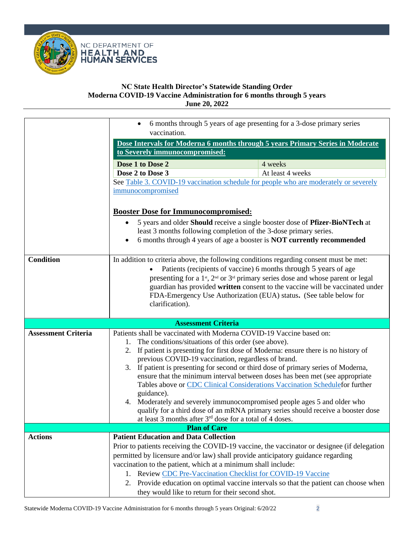

|                            | $\bullet$                                                                                                                                                       | 6 months through 5 years of age presenting for a 3-dose primary series                          |
|----------------------------|-----------------------------------------------------------------------------------------------------------------------------------------------------------------|-------------------------------------------------------------------------------------------------|
|                            | vaccination.                                                                                                                                                    |                                                                                                 |
|                            |                                                                                                                                                                 | Dose Intervals for Moderna 6 months through 5 years Primary Series in Moderate                  |
|                            | to Severely immunocompromised:                                                                                                                                  |                                                                                                 |
|                            | Dose 1 to Dose 2                                                                                                                                                | 4 weeks                                                                                         |
|                            | Dose 2 to Dose 3                                                                                                                                                | At least 4 weeks                                                                                |
|                            |                                                                                                                                                                 | See Table 3. COVID-19 vaccination schedule for people who are moderately or severely            |
|                            | immunocompromised                                                                                                                                               |                                                                                                 |
|                            |                                                                                                                                                                 |                                                                                                 |
|                            | <b>Booster Dose for Immunocompromised:</b>                                                                                                                      |                                                                                                 |
|                            | 5 years and older Should receive a single booster dose of Pfizer-BioNTech at                                                                                    |                                                                                                 |
|                            | least 3 months following completion of the 3-dose primary series.<br>6 months through 4 years of age a booster is <b>NOT</b> currently recommended<br>$\bullet$ |                                                                                                 |
|                            |                                                                                                                                                                 |                                                                                                 |
| <b>Condition</b>           |                                                                                                                                                                 | In addition to criteria above, the following conditions regarding consent must be met:          |
|                            | $\bullet$                                                                                                                                                       | Patients (recipients of vaccine) 6 months through 5 years of age                                |
|                            |                                                                                                                                                                 | presenting for a 1 <sup>st</sup> , $2nd$ or $3rd$ primary series dose and whose parent or legal |
|                            |                                                                                                                                                                 | guardian has provided written consent to the vaccine will be vaccinated under                   |
|                            |                                                                                                                                                                 | FDA-Emergency Use Authorization (EUA) status. (See table below for                              |
|                            | clarification).                                                                                                                                                 |                                                                                                 |
|                            |                                                                                                                                                                 |                                                                                                 |
|                            | <b>Assessment Criteria</b>                                                                                                                                      |                                                                                                 |
| <b>Assessment Criteria</b> |                                                                                                                                                                 | Patients shall be vaccinated with Moderna COVID-19 Vaccine based on:                            |
|                            | 1.                                                                                                                                                              | The conditions/situations of this order (see above).                                            |
|                            |                                                                                                                                                                 |                                                                                                 |
|                            |                                                                                                                                                                 | 2. If patient is presenting for first dose of Moderna: ensure there is no history of            |
|                            |                                                                                                                                                                 | previous COVID-19 vaccination, regardless of brand.                                             |
|                            |                                                                                                                                                                 | 3. If patient is presenting for second or third dose of primary series of Moderna,              |
|                            |                                                                                                                                                                 | ensure that the minimum interval between doses has been met (see appropriate                    |
|                            |                                                                                                                                                                 | Tables above or CDC Clinical Considerations Vaccination Schedulefor further                     |
|                            | guidance).                                                                                                                                                      | 4. Moderately and severely immunocompromised people ages 5 and older who                        |
|                            |                                                                                                                                                                 | qualify for a third dose of an mRNA primary series should receive a booster dose                |
|                            |                                                                                                                                                                 | at least 3 months after 3 <sup>rd</sup> dose for a total of 4 doses.                            |
|                            | <b>Plan of Care</b>                                                                                                                                             |                                                                                                 |
| <b>Actions</b>             | <b>Patient Education and Data Collection</b>                                                                                                                    |                                                                                                 |
|                            |                                                                                                                                                                 | Prior to patients receiving the COVID-19 vaccine, the vaccinator or designee (if delegation     |
|                            |                                                                                                                                                                 | permitted by licensure and/or law) shall provide anticipatory guidance regarding                |
|                            | vaccination to the patient, which at a minimum shall include:                                                                                                   |                                                                                                 |
|                            |                                                                                                                                                                 | 1. Review CDC Pre-Vaccination Checklist for COVID-19 Vaccine                                    |
|                            | they would like to return for their second shot.                                                                                                                | 2. Provide education on optimal vaccine intervals so that the patient can choose when           |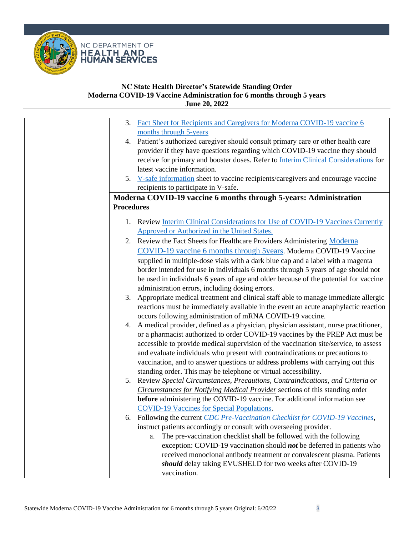

| 3. Fact Sheet for Recipients and Caregivers for Moderna COVID-19 vaccine 6<br>months through 5-years<br>4. Patient's authorized caregiver should consult primary care or other health care<br>provider if they have questions regarding which COVID-19 vaccine they should |
|----------------------------------------------------------------------------------------------------------------------------------------------------------------------------------------------------------------------------------------------------------------------------|
|                                                                                                                                                                                                                                                                            |
|                                                                                                                                                                                                                                                                            |
|                                                                                                                                                                                                                                                                            |
|                                                                                                                                                                                                                                                                            |
| receive for primary and booster doses. Refer to Interim Clinical Considerations for                                                                                                                                                                                        |
| latest vaccine information.                                                                                                                                                                                                                                                |
| 5. V-safe information sheet to vaccine recipients/caregivers and encourage vaccine                                                                                                                                                                                         |
| recipients to participate in V-safe.                                                                                                                                                                                                                                       |
| Moderna COVID-19 vaccine 6 months through 5-years: Administration                                                                                                                                                                                                          |
| <b>Procedures</b>                                                                                                                                                                                                                                                          |
| 1. Review Interim Clinical Considerations for Use of COVID-19 Vaccines Currently                                                                                                                                                                                           |
| Approved or Authorized in the United States.                                                                                                                                                                                                                               |
| 2. Review the Fact Sheets for Healthcare Providers Administering Moderna                                                                                                                                                                                                   |
| COVID-19 vaccine 6 months through 5years. Moderna COVID-19 Vaccine                                                                                                                                                                                                         |
| supplied in multiple-dose vials with a dark blue cap and a label with a magenta                                                                                                                                                                                            |
| border intended for use in individuals 6 months through 5 years of age should not                                                                                                                                                                                          |
| be used in individuals 6 years of age and older because of the potential for vaccine                                                                                                                                                                                       |
| administration errors, including dosing errors.                                                                                                                                                                                                                            |
| 3. Appropriate medical treatment and clinical staff able to manage immediate allergic                                                                                                                                                                                      |
| reactions must be immediately available in the event an acute anaphylactic reaction                                                                                                                                                                                        |
| occurs following administration of mRNA COVID-19 vaccine.                                                                                                                                                                                                                  |
| 4. A medical provider, defined as a physician, physician assistant, nurse practitioner,                                                                                                                                                                                    |
| or a pharmacist authorized to order COVID-19 vaccines by the PREP Act must be                                                                                                                                                                                              |
| accessible to provide medical supervision of the vaccination site/service, to assess                                                                                                                                                                                       |
| and evaluate individuals who present with contraindications or precautions to                                                                                                                                                                                              |
| vaccination, and to answer questions or address problems with carrying out this                                                                                                                                                                                            |
| standing order. This may be telephone or virtual accessibility.                                                                                                                                                                                                            |
| 5. Review Special Circumstances, Precautions, Contraindications, and Criteria or                                                                                                                                                                                           |
| Circumstances for Notifying Medical Provider sections of this standing order                                                                                                                                                                                               |
| before administering the COVID-19 vaccine. For additional information see                                                                                                                                                                                                  |
| <b>COVID-19 Vaccines for Special Populations.</b>                                                                                                                                                                                                                          |
| 6. Following the current CDC Pre-Vaccination Checklist for COVID-19 Vaccines,                                                                                                                                                                                              |
| instruct patients accordingly or consult with overseeing provider.                                                                                                                                                                                                         |
| The pre-vaccination checklist shall be followed with the following<br>a.                                                                                                                                                                                                   |
| exception: COVID-19 vaccination should <i>not</i> be deferred in patients who                                                                                                                                                                                              |
| received monoclonal antibody treatment or convalescent plasma. Patients                                                                                                                                                                                                    |
| should delay taking EVUSHELD for two weeks after COVID-19                                                                                                                                                                                                                  |
| vaccination.                                                                                                                                                                                                                                                               |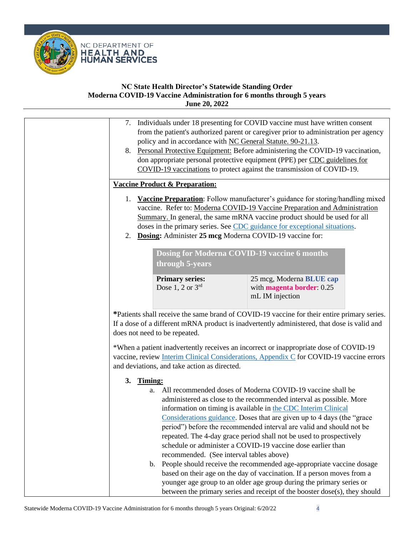

|          | policy and in accordance with NC General Statute. 90-21.13.     | 7. Individuals under 18 presenting for COVID vaccine must have written consent<br>from the patient's authorized parent or caregiver prior to administration per agency<br>8. Personal Protective Equipment: Before administering the COVID-19 vaccination,<br>don appropriate personal protective equipment (PPE) per CDC guidelines for<br>COVID-19 vaccinations to protect against the transmission of COVID-19.                                                                                                                                                                                                                                   |  |
|----------|-----------------------------------------------------------------|------------------------------------------------------------------------------------------------------------------------------------------------------------------------------------------------------------------------------------------------------------------------------------------------------------------------------------------------------------------------------------------------------------------------------------------------------------------------------------------------------------------------------------------------------------------------------------------------------------------------------------------------------|--|
|          | <b>Vaccine Product &amp; Preparation:</b>                       |                                                                                                                                                                                                                                                                                                                                                                                                                                                                                                                                                                                                                                                      |  |
| 1.<br>2. | Dosing: Administer 25 mcg Moderna COVID-19 vaccine for:         | <b>Vaccine Preparation:</b> Follow manufacturer's guidance for storing/handling mixed<br>vaccine. Refer to: Moderna COVID-19 Vaccine Preparation and Administration<br>Summary. In general, the same mRNA vaccine product should be used for all<br>doses in the primary series. See CDC guidance for exceptional situations.                                                                                                                                                                                                                                                                                                                        |  |
|          | Dosing for Moderna COVID-19 vaccine 6 months<br>through 5-years |                                                                                                                                                                                                                                                                                                                                                                                                                                                                                                                                                                                                                                                      |  |
|          | <b>Primary series:</b><br>Dose $1, 2$ or $3rd$                  | 25 mcg, Moderna BLUE cap<br>with magenta border: 0.25<br>mL IM injection                                                                                                                                                                                                                                                                                                                                                                                                                                                                                                                                                                             |  |
|          | does not need to be repeated.                                   | *Patients shall receive the same brand of COVID-19 vaccine for their entire primary series.<br>If a dose of a different mRNA product is inadvertently administered, that dose is valid and                                                                                                                                                                                                                                                                                                                                                                                                                                                           |  |
|          | and deviations, and take action as directed.                    | *When a patient inadvertently receives an incorrect or inappropriate dose of COVID-19<br>vaccine, review Interim Clinical Considerations, Appendix C for COVID-19 vaccine errors                                                                                                                                                                                                                                                                                                                                                                                                                                                                     |  |
| 3.       | Timing:<br>recommended. (See interval tables above)             | a. All recommended doses of Moderna COVID-19 vaccine shall be<br>administered as close to the recommended interval as possible. More<br>information on timing is available in the CDC Interim Clinical<br>Considerations guidance. Doses that are given up to 4 days (the "grace"<br>period") before the recommended interval are valid and should not be<br>repeated. The 4-day grace period shall not be used to prospectively<br>schedule or administer a COVID-19 vaccine dose earlier than<br>b. People should receive the recommended age-appropriate vaccine dosage<br>based on their age on the day of vaccination. If a person moves from a |  |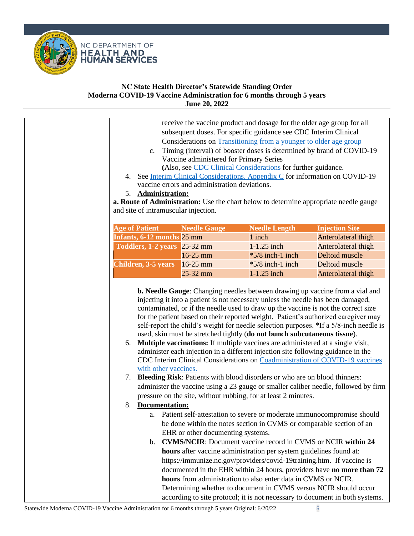

|                              |                                               | receive the vaccine product and dosage for the older age group for all<br>subsequent doses. For specific guidance see CDC Interim Clinical<br>Considerations on Transitioning from a younger to older age group                                                                                                                                                                                  |                                                                                                                                                                                                                                                              |
|------------------------------|-----------------------------------------------|--------------------------------------------------------------------------------------------------------------------------------------------------------------------------------------------------------------------------------------------------------------------------------------------------------------------------------------------------------------------------------------------------|--------------------------------------------------------------------------------------------------------------------------------------------------------------------------------------------------------------------------------------------------------------|
| $c_{\cdot}$                  |                                               | Timing (interval) of booster doses is determined by brand of COVID-19                                                                                                                                                                                                                                                                                                                            |                                                                                                                                                                                                                                                              |
|                              | Vaccine administered for Primary Series       |                                                                                                                                                                                                                                                                                                                                                                                                  |                                                                                                                                                                                                                                                              |
|                              |                                               | (Also, see CDC Clinical Considerations for further guidance.<br>4. See Interim Clinical Considerations, Appendix C for information on COVID-19                                                                                                                                                                                                                                                   |                                                                                                                                                                                                                                                              |
|                              | vaccine errors and administration deviations. |                                                                                                                                                                                                                                                                                                                                                                                                  |                                                                                                                                                                                                                                                              |
| <b>Administration:</b><br>5. |                                               |                                                                                                                                                                                                                                                                                                                                                                                                  |                                                                                                                                                                                                                                                              |
|                              |                                               | a. Route of Administration: Use the chart below to determine appropriate needle gauge                                                                                                                                                                                                                                                                                                            |                                                                                                                                                                                                                                                              |
|                              | and site of intramuscular injection.          |                                                                                                                                                                                                                                                                                                                                                                                                  |                                                                                                                                                                                                                                                              |
| <b>Age of Patient</b>        | <b>Needle Gauge</b>                           | <b>Needle Length</b>                                                                                                                                                                                                                                                                                                                                                                             | <b>Injection Site</b>                                                                                                                                                                                                                                        |
| Infants, 6-12 months 25 mm   |                                               | 1 inch                                                                                                                                                                                                                                                                                                                                                                                           | Anterolateral thigh                                                                                                                                                                                                                                          |
| Toddlers, 1-2 years 25-32 mm |                                               | 1-1.25 inch                                                                                                                                                                                                                                                                                                                                                                                      | Anterolateral thigh                                                                                                                                                                                                                                          |
|                              | 16-25 mm                                      | $*5/8$ inch-1 inch                                                                                                                                                                                                                                                                                                                                                                               | Deltoid muscle                                                                                                                                                                                                                                               |
| <b>Children, 3-5 years</b>   | 16-25 mm                                      | $*5/8$ inch-1 inch                                                                                                                                                                                                                                                                                                                                                                               | Deltoid muscle                                                                                                                                                                                                                                               |
|                              | 25-32 mm                                      | 1-1.25 inch                                                                                                                                                                                                                                                                                                                                                                                      | Anterolateral thigh                                                                                                                                                                                                                                          |
|                              |                                               | contaminated, or if the needle used to draw up the vaccine is not the correct size                                                                                                                                                                                                                                                                                                               | injecting it into a patient is not necessary unless the needle has been damaged,                                                                                                                                                                             |
| 6.<br>7.                     | with other vaccines.                          | used, skin must be stretched tightly (do not bunch subcutaneous tissue).<br>Multiple vaccinations: If multiple vaccines are administered at a single visit,<br>administer each injection in a different injection site following guidance in the<br>Bleeding Risk: Patients with blood disorders or who are on blood thinners:<br>pressure on the site, without rubbing, for at least 2 minutes. | for the patient based on their reported weight. Patient's authorized caregiver may<br>self-report the child's weight for needle selection purposes. *If a 5/8-inch needle is<br>CDC Interim Clinical Considerations on Coadministration of COVID-19 vaccines |
| 8.<br><b>Documentation:</b>  |                                               |                                                                                                                                                                                                                                                                                                                                                                                                  | administer the vaccine using a 23 gauge or smaller caliber needle, followed by firm                                                                                                                                                                          |
|                              |                                               |                                                                                                                                                                                                                                                                                                                                                                                                  | a. Patient self-attestation to severe or moderate immunocompromise should                                                                                                                                                                                    |
|                              |                                               | be done within the notes section in CVMS or comparable section of an                                                                                                                                                                                                                                                                                                                             |                                                                                                                                                                                                                                                              |
|                              | EHR or other documenting systems.             |                                                                                                                                                                                                                                                                                                                                                                                                  |                                                                                                                                                                                                                                                              |
| b.                           |                                               | <b>CVMS/NCIR:</b> Document vaccine record in CVMS or NCIR within 24                                                                                                                                                                                                                                                                                                                              |                                                                                                                                                                                                                                                              |
|                              |                                               | hours after vaccine administration per system guidelines found at:                                                                                                                                                                                                                                                                                                                               |                                                                                                                                                                                                                                                              |
|                              |                                               | https://immunize.nc.gov/providers/covid-19training.htm. If vaccine is                                                                                                                                                                                                                                                                                                                            |                                                                                                                                                                                                                                                              |
|                              |                                               | hours from administration to also enter data in CVMS or NCIR.                                                                                                                                                                                                                                                                                                                                    | documented in the EHR within 24 hours, providers have no more than 72                                                                                                                                                                                        |
|                              |                                               | Determining whether to document in CVMS versus NCIR should occur                                                                                                                                                                                                                                                                                                                                 |                                                                                                                                                                                                                                                              |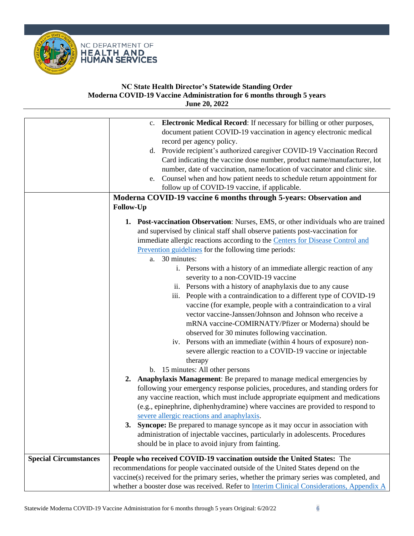



| Electronic Medical Record: If necessary for billing or other purposes,<br>document patient COVID-19 vaccination in agency electronic medical<br>record per agency policy.<br>d. Provide recipient's authorized caregiver COVID-19 Vaccination Record |
|------------------------------------------------------------------------------------------------------------------------------------------------------------------------------------------------------------------------------------------------------|
|                                                                                                                                                                                                                                                      |
|                                                                                                                                                                                                                                                      |
|                                                                                                                                                                                                                                                      |
| Card indicating the vaccine dose number, product name/manufacturer, lot                                                                                                                                                                              |
| number, date of vaccination, name/location of vaccinator and clinic site.                                                                                                                                                                            |
| e. Counsel when and how patient needs to schedule return appointment for                                                                                                                                                                             |
| follow up of COVID-19 vaccine, if applicable.                                                                                                                                                                                                        |
| Moderna COVID-19 vaccine 6 months through 5-years: Observation and                                                                                                                                                                                   |
| <b>Follow-Up</b>                                                                                                                                                                                                                                     |
|                                                                                                                                                                                                                                                      |
| <b>1. Post-vaccination Observation:</b> Nurses, EMS, or other individuals who are trained                                                                                                                                                            |
| and supervised by clinical staff shall observe patients post-vaccination for                                                                                                                                                                         |
| immediate allergic reactions according to the Centers for Disease Control and                                                                                                                                                                        |
| Prevention guidelines for the following time periods:                                                                                                                                                                                                |
| a. 30 minutes:                                                                                                                                                                                                                                       |
| i. Persons with a history of an immediate allergic reaction of any                                                                                                                                                                                   |
| severity to a non-COVID-19 vaccine                                                                                                                                                                                                                   |
| ii. Persons with a history of anaphylaxis due to any cause                                                                                                                                                                                           |
| iii. People with a contraindication to a different type of COVID-19                                                                                                                                                                                  |
| vaccine (for example, people with a contraindication to a viral                                                                                                                                                                                      |
| vector vaccine-Janssen/Johnson and Johnson who receive a                                                                                                                                                                                             |
| mRNA vaccine-COMIRNATY/Pfizer or Moderna) should be                                                                                                                                                                                                  |
| observed for 30 minutes following vaccination.                                                                                                                                                                                                       |
| iv. Persons with an immediate (within 4 hours of exposure) non-                                                                                                                                                                                      |
| severe allergic reaction to a COVID-19 vaccine or injectable                                                                                                                                                                                         |
| therapy                                                                                                                                                                                                                                              |
| b. 15 minutes: All other persons                                                                                                                                                                                                                     |
| Anaphylaxis Management: Be prepared to manage medical emergencies by<br>2.                                                                                                                                                                           |
| following your emergency response policies, procedures, and standing orders for                                                                                                                                                                      |
| any vaccine reaction, which must include appropriate equipment and medications                                                                                                                                                                       |
| (e.g., epinephrine, diphenhydramine) where vaccines are provided to respond to                                                                                                                                                                       |
| severe allergic reactions and anaphylaxis.                                                                                                                                                                                                           |
| 3. Syncope: Be prepared to manage syncope as it may occur in association with                                                                                                                                                                        |
| administration of injectable vaccines, particularly in adolescents. Procedures                                                                                                                                                                       |
| should be in place to avoid injury from fainting.                                                                                                                                                                                                    |
| People who received COVID-19 vaccination outside the United States: The<br><b>Special Circumstances</b>                                                                                                                                              |
| recommendations for people vaccinated outside of the United States depend on the                                                                                                                                                                     |
| vaccine(s) received for the primary series, whether the primary series was completed, and                                                                                                                                                            |
| whether a booster dose was received. Refer to Interim Clinical Considerations, Appendix A                                                                                                                                                            |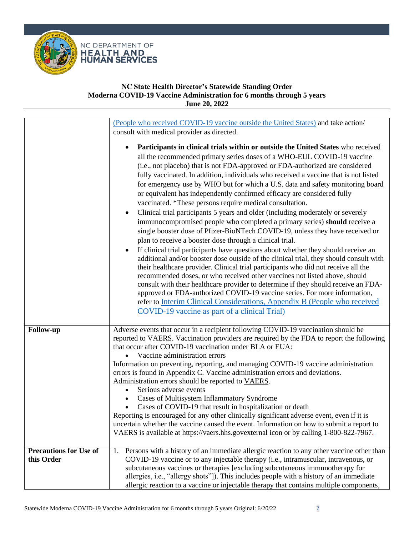

<span id="page-6-0"></span>

|                                             | (People who received COVID-19 vaccine outside the United States) and take action/                                                                                                                                                                                                                                                                                                                                                                                                                                                                                                                                                                                                                                                                                                                                                                                                                                                                                                                                                                                                                                                                                                                                                                                                                                                                                              |
|---------------------------------------------|--------------------------------------------------------------------------------------------------------------------------------------------------------------------------------------------------------------------------------------------------------------------------------------------------------------------------------------------------------------------------------------------------------------------------------------------------------------------------------------------------------------------------------------------------------------------------------------------------------------------------------------------------------------------------------------------------------------------------------------------------------------------------------------------------------------------------------------------------------------------------------------------------------------------------------------------------------------------------------------------------------------------------------------------------------------------------------------------------------------------------------------------------------------------------------------------------------------------------------------------------------------------------------------------------------------------------------------------------------------------------------|
|                                             | consult with medical provider as directed.<br>Participants in clinical trials within or outside the United States who received<br>all the recommended primary series doses of a WHO-EUL COVID-19 vaccine<br>(i.e., not placebo) that is not FDA-approved or FDA-authorized are considered<br>fully vaccinated. In addition, individuals who received a vaccine that is not listed<br>for emergency use by WHO but for which a U.S. data and safety monitoring board<br>or equivalent has independently confirmed efficacy are considered fully<br>vaccinated. *These persons require medical consultation.<br>Clinical trial participants 5 years and older (including moderately or severely<br>immunocompromised people who completed a primary series) should receive a<br>single booster dose of Pfizer-BioNTech COVID-19, unless they have received or<br>plan to receive a booster dose through a clinical trial.<br>If clinical trial participants have questions about whether they should receive an<br>$\bullet$<br>additional and/or booster dose outside of the clinical trial, they should consult with<br>their healthcare provider. Clinical trial participants who did not receive all the<br>recommended doses, or who received other vaccines not listed above, should<br>consult with their healthcare provider to determine if they should receive an FDA- |
|                                             | approved or FDA-authorized COVID-19 vaccine series. For more information,<br>refer to Interim Clinical Considerations, Appendix B (People who received<br>COVID-19 vaccine as part of a clinical Trial)                                                                                                                                                                                                                                                                                                                                                                                                                                                                                                                                                                                                                                                                                                                                                                                                                                                                                                                                                                                                                                                                                                                                                                        |
|                                             |                                                                                                                                                                                                                                                                                                                                                                                                                                                                                                                                                                                                                                                                                                                                                                                                                                                                                                                                                                                                                                                                                                                                                                                                                                                                                                                                                                                |
| <b>Follow-up</b>                            | Adverse events that occur in a recipient following COVID-19 vaccination should be<br>reported to VAERS. Vaccination providers are required by the FDA to report the following<br>that occur after COVID-19 vaccination under BLA or EUA:<br>Vaccine administration errors<br>Information on preventing, reporting, and managing COVID-19 vaccine administration<br>errors is found in Appendix C. Vaccine administration errors and deviations.<br>Administration errors should be reported to VAERS.<br>Serious adverse events<br>$\bullet$<br><b>Cases of Multisystem Inflammatory Syndrome</b>                                                                                                                                                                                                                                                                                                                                                                                                                                                                                                                                                                                                                                                                                                                                                                              |
|                                             | Cases of COVID-19 that result in hospitalization or death<br>Reporting is encouraged for any other clinically significant adverse event, even if it is<br>uncertain whether the vaccine caused the event. Information on how to submit a report to<br>VAERS is available at https://vaers.hhs.govexternal icon or by calling 1-800-822-7967.                                                                                                                                                                                                                                                                                                                                                                                                                                                                                                                                                                                                                                                                                                                                                                                                                                                                                                                                                                                                                                   |
| <b>Precautions for Use of</b><br>this Order | Persons with a history of an immediate allergic reaction to any other vaccine other than<br>1.<br>COVID-19 vaccine or to any injectable therapy (i.e., intramuscular, intravenous, or<br>subcutaneous vaccines or therapies [excluding subcutaneous immunotherapy for<br>allergies, i.e., "allergy shots"]). This includes people with a history of an immediate<br>allergic reaction to a vaccine or injectable therapy that contains multiple components,                                                                                                                                                                                                                                                                                                                                                                                                                                                                                                                                                                                                                                                                                                                                                                                                                                                                                                                    |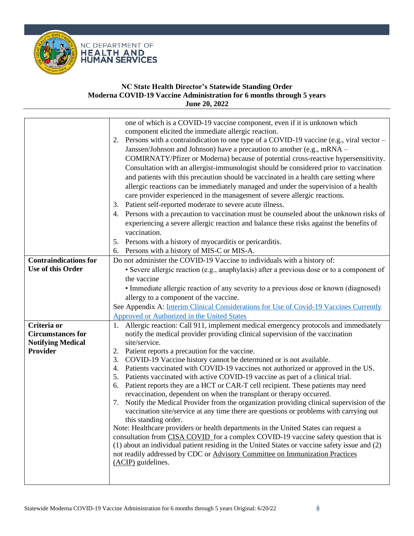

<span id="page-7-1"></span><span id="page-7-0"></span>

|                              | one of which is a COVID-19 vaccine component, even if it is unknown which                       |
|------------------------------|-------------------------------------------------------------------------------------------------|
|                              | component elicited the immediate allergic reaction.                                             |
|                              | Persons with a contraindication to one type of a COVID-19 vaccine (e.g., viral vector $-$<br>2. |
|                              | Janssen/Johnson and Johnson) have a precaution to another (e.g., mRNA -                         |
|                              | COMIRNATY/Pfizer or Moderna) because of potential cross-reactive hypersensitivity.              |
|                              | Consultation with an allergist-immunologist should be considered prior to vaccination           |
|                              | and patients with this precaution should be vaccinated in a health care setting where           |
|                              |                                                                                                 |
|                              | allergic reactions can be immediately managed and under the supervision of a health             |
|                              | care provider experienced in the management of severe allergic reactions.                       |
|                              | 3. Patient self-reported moderate to severe acute illness.                                      |
|                              | 4. Persons with a precaution to vaccination must be counseled about the unknown risks of        |
|                              | experiencing a severe allergic reaction and balance these risks against the benefits of         |
|                              | vaccination.                                                                                    |
|                              | Persons with a history of myocarditis or pericarditis.<br>5.                                    |
|                              | Persons with a history of MIS-C or MIS-A.<br>6.                                                 |
| <b>Contraindications for</b> | Do not administer the COVID-19 Vaccine to individuals with a history of:                        |
| Use of this Order            | • Severe allergic reaction (e.g., anaphylaxis) after a previous dose or to a component of       |
|                              | the vaccine                                                                                     |
|                              | • Immediate allergic reaction of any severity to a previous dose or known (diagnosed)           |
|                              | allergy to a component of the vaccine.                                                          |
|                              | See Appendix A: Interim Clinical Considerations for Use of Covid-19 Vaccines Currently          |
|                              | <b>Approved or Authorized in the United States</b>                                              |
| Criteria or                  | 1. Allergic reaction: Call 911, implement medical emergency protocols and immediately           |
| <b>Circumstances for</b>     | notify the medical provider providing clinical supervision of the vaccination                   |
| <b>Notifying Medical</b>     | site/service.                                                                                   |
| <b>Provider</b>              | 2. Patient reports a precaution for the vaccine.                                                |
|                              | COVID-19 Vaccine history cannot be determined or is not available.<br>3.                        |
|                              | Patients vaccinated with COVID-19 vaccines not authorized or approved in the US.                |
|                              | 5. Patients vaccinated with active COVID-19 vaccine as part of a clinical trial.                |
|                              | Patient reports they are a HCT or CAR-T cell recipient. These patients may need<br>6.           |
|                              | revaccination, dependent on when the transplant or therapy occurred.                            |
|                              | Notify the Medical Provider from the organization providing clinical supervision of the<br>7.   |
|                              | vaccination site/service at any time there are questions or problems with carrying out          |
|                              | this standing order.                                                                            |
|                              | Note: Healthcare providers or health departments in the United States can request a             |
|                              | consultation from CISA COVID for a complex COVID-19 vaccine safety question that is             |
|                              | (1) about an individual patient residing in the United States or vaccine safety issue and (2)   |
|                              | not readily addressed by CDC or Advisory Committee on Immunization Practices                    |
|                              | (ACIP) guidelines.                                                                              |
|                              |                                                                                                 |
|                              |                                                                                                 |